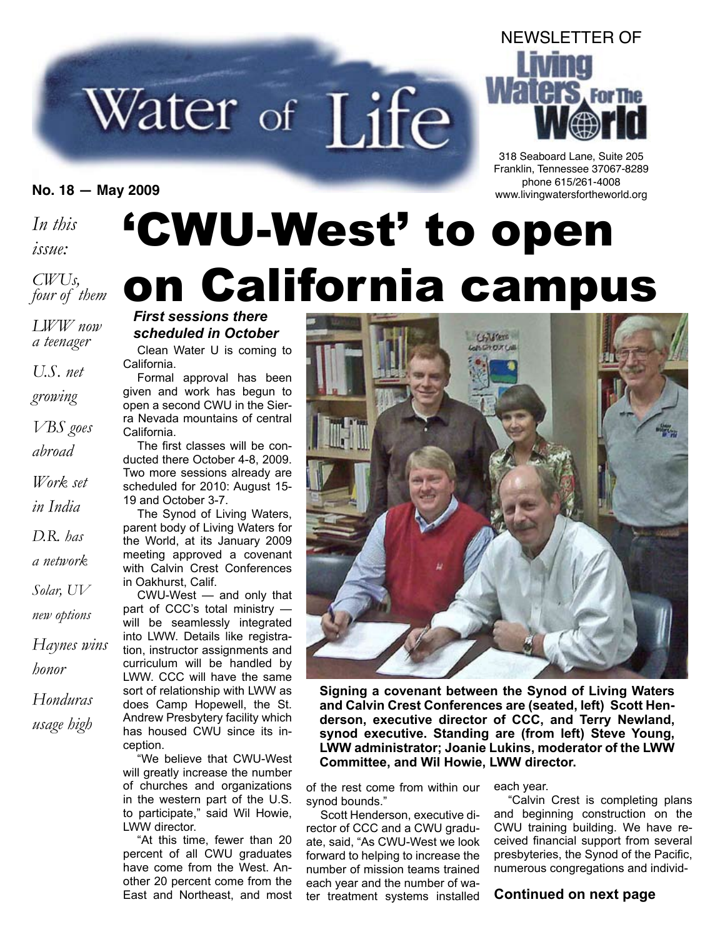# Water of Life

*In this*

*issue:*

*CWUs, four of them*

*LWW now a teenager*

*U.S. net*

*growing*

*VBS goes*

*abroad*

*Work set*

*in India*

*D.R. has*

*a network*

*Solar, UV*

*new options*

*Haynes wins honor*

*Honduras usage high*

# 'CWU-West' to open on California campus

## *First sessions there scheduled in October*

Clean Water U is coming to California.

Formal approval has been given and work has begun to open a second CWU in the Sierra Nevada mountains of central California.

The first classes will be conducted there October 4-8, 2009. Two more sessions already are scheduled for 2010: August 15- 19 and October 3-7.

The Synod of Living Waters, parent body of Living Waters for the World, at its January 2009 meeting approved a covenant with Calvin Crest Conferences in Oakhurst, Calif.

CWU-West — and only that part of CCC's total ministry will be seamlessly integrated into LWW. Details like registration, instructor assignments and curriculum will be handled by LWW. CCC will have the same sort of relationship with LWW as does Camp Hopewell, the St. Andrew Presbytery facility which has housed CWU since its inception.

"We believe that CWU-West will greatly increase the number of churches and organizations in the western part of the U.S. to participate," said Wil Howie, LWW director.

"At this time, fewer than 20 percent of all CWU graduates have come from the West. Another 20 percent come from the East and Northeast, and most



**Signing a covenant between the Synod of Living Waters and Calvin Crest Conferences are (seated, left) Scott Henderson, executive director of CCC, and Terry Newland, synod executive. Standing are (from left) Steve Young, LWW administrator; Joanie Lukins, moderator of the LWW Committee, and Wil Howie, LWW director.**

of the rest come from within our synod bounds."

Scott Henderson, executive director of CCC and a CWU graduate, said, "As CWU-West we look forward to helping to increase the number of mission teams trained each year and the number of water treatment systems installed

each year.

"Calvin Crest is completing plans and beginning construction on the CWU training building. We have received financial support from several presbyteries, the Synod of the Pacific, numerous congregations and individ-

## **Continued on next page**

# **For The**

NEWSLETTER OF

318 Seaboard Lane, Suite 205 Franklin, Tennessee 37067-8289 phone 615/261-4008 **No. 18 — May 2009** www.livingwatersfortheworld.org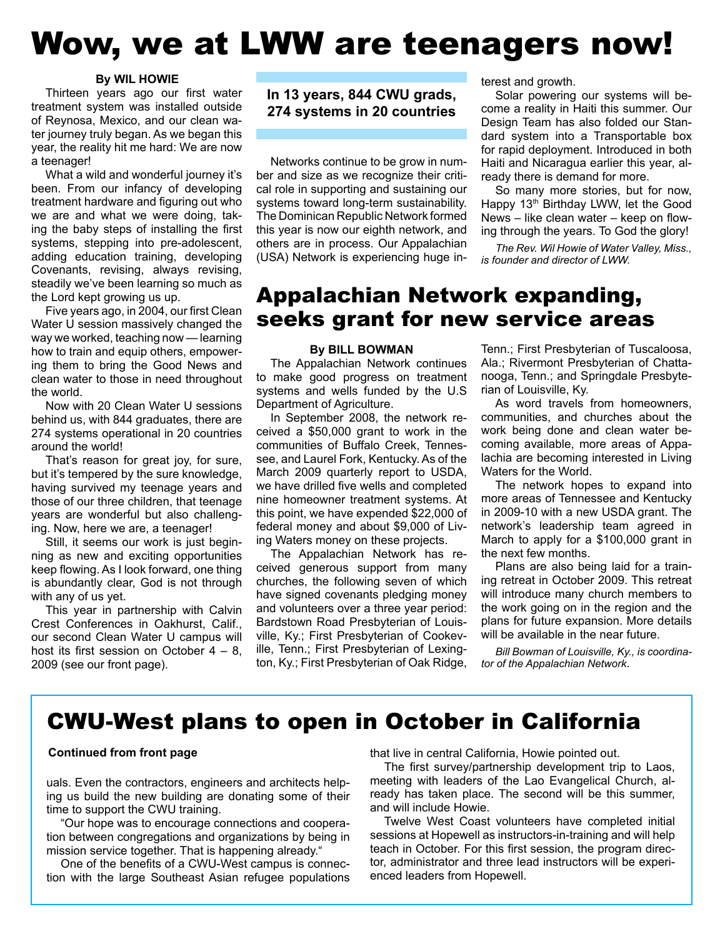# Wow, we at LWW are teenagers now!

#### **By WIL HOWIE**

Thirteen years ago our first water treatment system was installed outside of Reynosa, Mexico, and our clean water journey truly began. As we began this year, the reality hit me hard: We are now a teenager!

What a wild and wonderful journey it's been. From our infancy of developing treatment hardware and figuring out who we are and what we were doing, taking the baby steps of installing the first systems, stepping into pre-adolescent, adding education training, developing Covenants, revising, always revising, steadily we've been learning so much as the Lord kept growing us up.

Five years ago, in 2004, our first Clean Water U session massively changed the way we worked, teaching now — learning how to train and equip others, empowering them to bring the Good News and clean water to those in need throughout the world.

Now with 20 Clean Water U sessions behind us, with 844 graduates, there are 274 systems operational in 20 countries around the world!

That's reason for great joy, for sure, but it's tempered by the sure knowledge, having survived my teenage years and those of our three children, that teenage years are wonderful but also challenging. Now, here we are, a teenager!

Still, it seems our work is just beginning as new and exciting opportunities keep flowing. As I look forward, one thing is abundantly clear, God is not through with any of us yet.

This year in partnership with Calvin Crest Conferences in Oakhurst, Calif., our second Clean Water U campus will host its first session on October  $4 - 8$ , 2009 (see our front page).

**In 13 years, 844 CWU grads, 274 systems in 20 countries**

Networks continue to be grow in number and size as we recognize their critical role in supporting and sustaining our systems toward long-term sustainability. The Dominican Republic Network formed this year is now our eighth network, and others are in process. Our Appalachian (USA) Network is experiencing huge interest and growth.

Solar powering our systems will become a reality in Haiti this summer. Our Design Team has also folded our Standard system into a Transportable box for rapid deployment. Introduced in both Haiti and Nicaragua earlier this year, already there is demand for more.

So many more stories, but for now, Happy 13<sup>th</sup> Birthday LWW, let the Good News – like clean water – keep on flowing through the years. To God the glory!

*The Rev. Wil Howie of Water Valley, Miss., is founder and director of LWW.*

## Appalachian Network expanding, seeks grant for new service areas

#### **By BILL BOWMAN**

The Appalachian Network continues to make good progress on treatment systems and wells funded by the U.S Department of Agriculture.

In September 2008, the network received a \$50,000 grant to work in the communities of Buffalo Creek, Tennessee, and Laurel Fork, Kentucky. As of the March 2009 quarterly report to USDA, we have drilled five wells and completed nine homeowner treatment systems. At this point, we have expended \$22,000 of federal money and about \$9,000 of Living Waters money on these projects.

The Appalachian Network has received generous support from many churches, the following seven of which have signed covenants pledging money and volunteers over a three year period: Bardstown Road Presbyterian of Louisville, Ky.; First Presbyterian of Cookeville, Tenn.; First Presbyterian of Lexington, Ky.; First Presbyterian of Oak Ridge,

Tenn.; First Presbyterian of Tuscaloosa, Ala.; Rivermont Presbyterian of Chattanooga, Tenn.; and Springdale Presbyterian of Louisville, Ky.

As word travels from homeowners, communities, and churches about the work being done and clean water becoming available, more areas of Appalachia are becoming interested in Living Waters for the World.

The network hopes to expand into more areas of Tennessee and Kentucky in 2009-10 with a new USDA grant. The network's leadership team agreed in March to apply for a \$100,000 grant in the next few months.

Plans are also being laid for a training retreat in October 2009. This retreat will introduce many church members to the work going on in the region and the plans for future expansion. More details will be available in the near future.

*Bill Bowman of Louisville, Ky., is coordinator of the Appalachian Network*.

## CWU-West plans to open in October in California

#### **Continued from front page**

uals. Even the contractors, engineers and architects helping us build the new building are donating some of their time to support the CWU training.

"Our hope was to encourage connections and cooperation between congregations and organizations by being in mission service together. That is happening already."

One of the benefits of a CWU-West campus is connection with the large Southeast Asian refugee populations that live in central California, Howie pointed out.

The first survey/partnership development trip to Laos, meeting with leaders of the Lao Evangelical Church, already has taken place. The second will be this summer, and will include Howie.

Twelve West Coast volunteers have completed initial sessions at Hopewell as instructors-in-training and will help teach in October. For this first session, the program director, administrator and three lead instructors will be experienced leaders from Hopewell.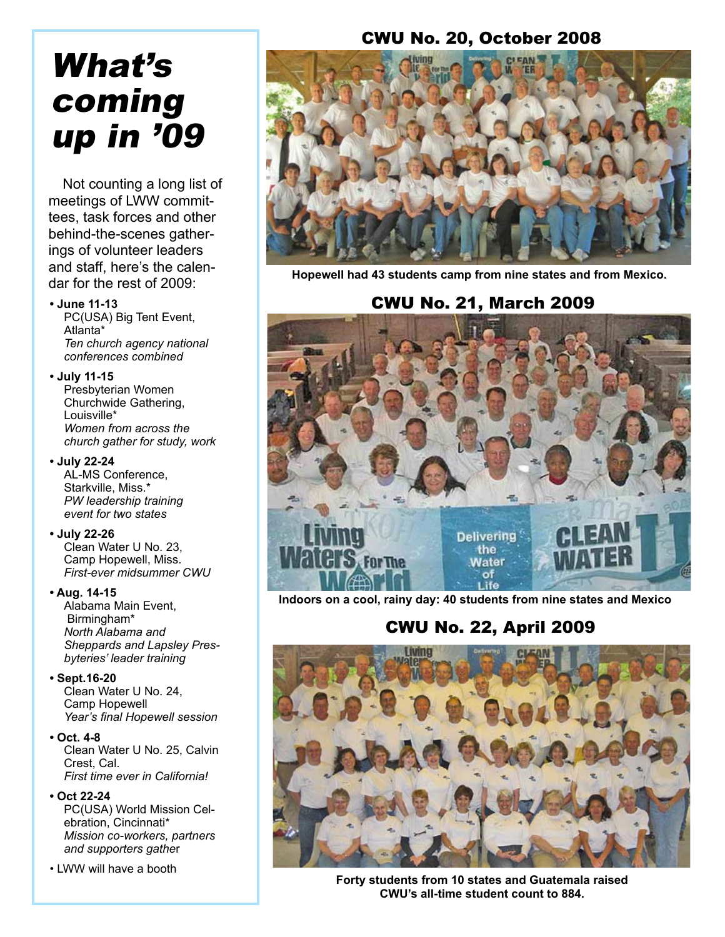## CWU No. 20, October 2008

# What's coming up in '09

Not counting a long list of meetings of LWW committees, task forces and other behind-the-scenes gatherings of volunteer leaders and staff, here's the calendar for the rest of 2009:

#### **• June 11-13**

PC(USA) Big Tent Event, Atlanta\* *Ten church agency national conferences combined*

#### **• July 11-15**

Presbyterian Women Churchwide Gathering, Louisville\* *Women from across the church gather for study, work*

#### **• July 22-24**

AL-MS Conference, Starkville, Miss.\* *PW leadership training event for two states*

## **• July 22-26**

Clean Water U No. 23, Camp Hopewell, Miss. *First-ever midsummer CWU*

## **• Aug. 14-15**

Alabama Main Event, Birmingham\* *North Alabama and Sheppards and Lapsley Presbyteries' leader training*

## **• Sept.16-20**

Clean Water U No. 24, Camp Hopewell  *Year's final Hopewell session*

## **• Oct. 4-8**

Clean Water U No. 25, Calvin Crest, Cal. *First time ever in California!*

#### **• Oct 22-24**

PC(USA) World Mission Celebration, Cincinnati\* *Mission co-workers, partners and supporters gathe*r

#### • LWW will have a booth



**Hopewell had 43 students camp from nine states and from Mexico.** 

## CWU No. 21, March 2009



**Indoors on a cool, rainy day: 40 students from nine states and Mexico**

## CWU No. 22, April 2009



**Forty students from 10 states and Guatemala raised CWU's all-time student count to 884.**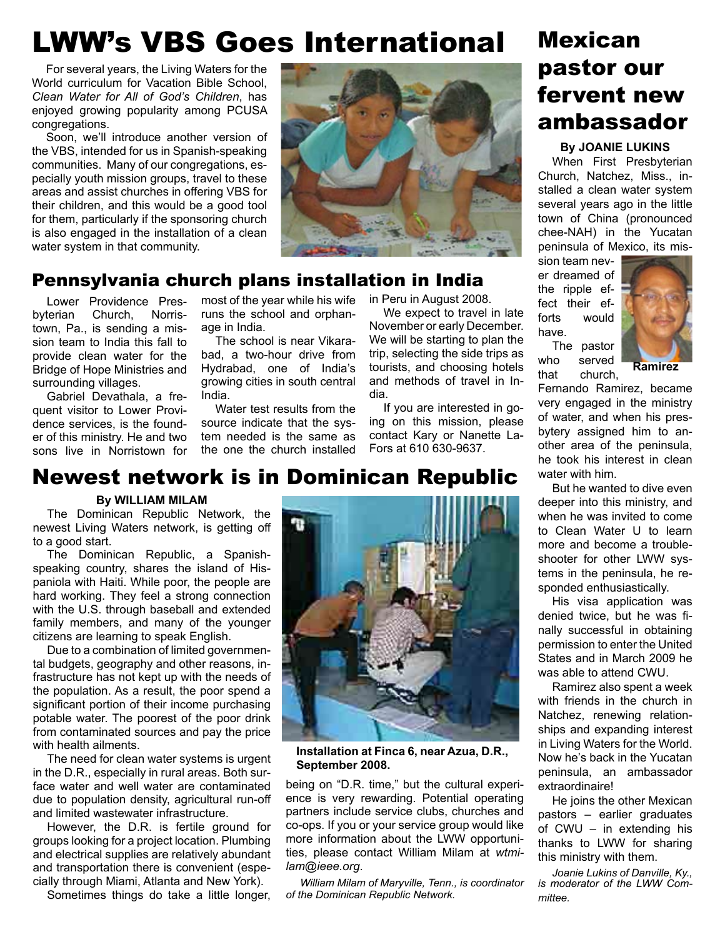## LWW's VBS Goes International

For several years, the Living Waters for the World curriculum for Vacation Bible School, *Clean Water for All of God's Children*, has enjoyed growing popularity among PCUSA congregations.

Soon, we'll introduce another version of the VBS, intended for us in Spanish-speaking communities. Many of our congregations, especially youth mission groups, travel to these areas and assist churches in offering VBS for their children, and this would be a good tool for them, particularly if the sponsoring church is also engaged in the installation of a clean water system in that community.



## Pennsylvania church plans installation in India

Lower Providence Presbyterian Church, Norristown, Pa., is sending a mission team to India this fall to provide clean water for the Bridge of Hope Ministries and surrounding villages.

Gabriel Devathala, a frequent visitor to Lower Providence services, is the founder of this ministry. He and two sons live in Norristown for most of the year while his wife runs the school and orphanage in India.

The school is near Vikarabad, a two-hour drive from Hydrabad, one of India's growing cities in south central India.

Water test results from the source indicate that the system needed is the same as the one the church installed in Peru in August 2008.

We expect to travel in late November or early December. We will be starting to plan the trip, selecting the side trips as tourists, and choosing hotels and methods of travel in India.

If you are interested in going on this mission, please contact Kary or Nanette La-Fors at 610 630-9637.

## Mexican pastor our fervent new ambassador

#### **By JOANIE LUKINS**

When First Presbyterian Church, Natchez, Miss., installed a clean water system several years ago in the little town of China (pronounced chee-NAH) in the Yucatan peninsula of Mexico, its mis-

sion team never dreamed of the ripple effect their efforts would have.



The pastor who served that church,

Fernando Ramirez, became very engaged in the ministry of water, and when his presbytery assigned him to another area of the peninsula, he took his interest in clean water with him.

But he wanted to dive even deeper into this ministry, and when he was invited to come to Clean Water U to learn more and become a troubleshooter for other LWW systems in the peninsula, he responded enthusiastically.

His visa application was denied twice, but he was finally successful in obtaining permission to enter the United States and in March 2009 he was able to attend CWU.

Ramirez also spent a week with friends in the church in Natchez, renewing relationships and expanding interest in Living Waters for the World. Now he's back in the Yucatan peninsula, an ambassador extraordinaire!

He joins the other Mexican pastors – earlier graduates of CWU – in extending his thanks to LWW for sharing this ministry with them.

*Joanie Lukins of Danville, Ky., is moderator of the LWW Committee.*

## Newest network is in Dominican Republic

## **By WILLIAM MILAM**

The Dominican Republic Network, the newest Living Waters network, is getting off to a good start.

The Dominican Republic, a Spanishspeaking country, shares the island of Hispaniola with Haiti. While poor, the people are hard working. They feel a strong connection with the U.S. through baseball and extended family members, and many of the younger citizens are learning to speak English.

Due to a combination of limited governmental budgets, geography and other reasons, infrastructure has not kept up with the needs of the population. As a result, the poor spend a significant portion of their income purchasing potable water. The poorest of the poor drink from contaminated sources and pay the price with health ailments.

The need for clean water systems is urgent in the D.R., especially in rural areas. Both surface water and well water are contaminated due to population density, agricultural run-off and limited wastewater infrastructure.

However, the D.R. is fertile ground for groups looking for a project location. Plumbing and electrical supplies are relatively abundant and transportation there is convenient (especially through Miami, Atlanta and New York).

Sometimes things do take a little longer,



**Installation at Finca 6, near Azua, D.R., September 2008.**

being on "D.R. time," but the cultural experience is very rewarding. Potential operating partners include service clubs, churches and co-ops. If you or your service group would like more information about the LWW opportunities, please contact William Milam at *wtmilam@ieee.org*.

*William Milam of Maryville, Tenn., is coordinator of the Dominican Republic Network.*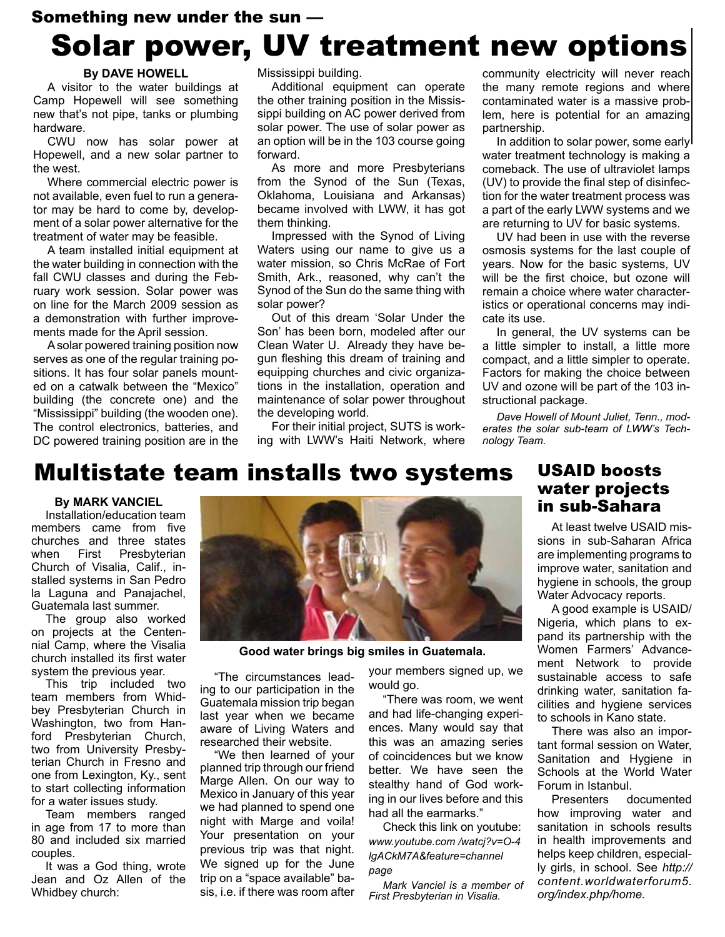## Something new under the sun — Solar power, UV treatment new options

## **By DAVE HOWELL**

A visitor to the water buildings at Camp Hopewell will see something new that's not pipe, tanks or plumbing hardware.

CWU now has solar power at Hopewell, and a new solar partner to the west.

Where commercial electric power is not available, even fuel to run a generator may be hard to come by, development of a solar power alternative for the treatment of water may be feasible.

A team installed initial equipment at the water building in connection with the fall CWU classes and during the February work session. Solar power was on line for the March 2009 session as a demonstration with further improvements made for the April session.

A solar powered training position now serves as one of the regular training positions. It has four solar panels mounted on a catwalk between the "Mexico" building (the concrete one) and the "Mississippi" building (the wooden one). The control electronics, batteries, and DC powered training position are in the

Mississippi building.

Additional equipment can operate the other training position in the Mississippi building on AC power derived from solar power. The use of solar power as an option will be in the 103 course going forward.

As more and more Presbyterians from the Synod of the Sun (Texas, Oklahoma, Louisiana and Arkansas) became involved with LWW, it has got them thinking.

Impressed with the Synod of Living Waters using our name to give us a water mission, so Chris McRae of Fort Smith, Ark., reasoned, why can't the Synod of the Sun do the same thing with solar power?

Out of this dream 'Solar Under the Son' has been born, modeled after our Clean Water U. Already they have begun fleshing this dream of training and equipping churches and civic organizations in the installation, operation and maintenance of solar power throughout the developing world.

For their initial project, SUTS is working with LWW's Haiti Network, where community electricity will never reach the many remote regions and where contaminated water is a massive problem, here is potential for an amazing partnership.

In addition to solar power, some early water treatment technology is making a comeback. The use of ultraviolet lamps (UV) to provide the final step of disinfection for the water treatment process was a part of the early LWW systems and we are returning to UV for basic systems.

UV had been in use with the reverse osmosis systems for the last couple of years. Now for the basic systems, UV will be the first choice, but ozone will remain a choice where water characteristics or operational concerns may indicate its use.

In general, the UV systems can be a little simpler to install, a little more compact, and a little simpler to operate. Factors for making the choice between UV and ozone will be part of the 103 instructional package.

*Dave Howell of Mount Juliet, Tenn., moderates the solar sub-team of LWW's Technology Team.*

## Multistate team installs two systems

#### **By MARK VANCIEL**

Installation/education team members came from five churches and three states<br>when First Presbyterian Presbyterian Church of Visalia, Calif., installed systems in San Pedro la Laguna and Panajachel, Guatemala last summer.

The group also worked on projects at the Centennial Camp, where the Visalia church installed its first water system the previous year.

This trip included two team members from Whidbey Presbyterian Church in Washington, two from Hanford Presbyterian Church, two from University Presbyterian Church in Fresno and one from Lexington, Ky., sent to start collecting information for a water issues study.

Team members ranged in age from 17 to more than 80 and included six married couples.

It was a God thing, wrote Jean and Oz Allen of the Whidbey church:



**Good water brings big smiles in Guatemala.**

"The circumstances leading to our participation in the Guatemala mission trip began last year when we became aware of Living Waters and researched their website.

"We then learned of your planned trip through our friend Marge Allen. On our way to Mexico in January of this year we had planned to spend one night with Marge and voila! Your presentation on your previous trip was that night. We signed up for the June trip on a "space available" basis, i.e. if there was room after your members signed up, we would go.

"There was room, we went and had life-changing experiences. Many would say that this was an amazing series of coincidences but we know better. We have seen the stealthy hand of God working in our lives before and this had all the earmarks."

Check this link on youtube: *www.youtube.com /watcj?v=O-4 lgACkM7A&feature=channel page*

*Mark Vanciel is a member of First Presbyterian in Visalia.*

## USAID boosts water projects in sub-Sahara

At least twelve USAID missions in sub-Saharan Africa are implementing programs to improve water, sanitation and hygiene in schools, the group Water Advocacy reports.

A good example is USAID/ Nigeria, which plans to expand its partnership with the Women Farmers' Advancement Network to provide sustainable access to safe drinking water, sanitation facilities and hygiene services to schools in Kano state.

There was also an important formal session on Water, Sanitation and Hygiene in Schools at the World Water Forum in Istanbul.

Presenters documented how improving water and sanitation in schools results in health improvements and helps keep children, especially girls, in school. See *http:// content.worldwaterforum5. org/index.php/home.*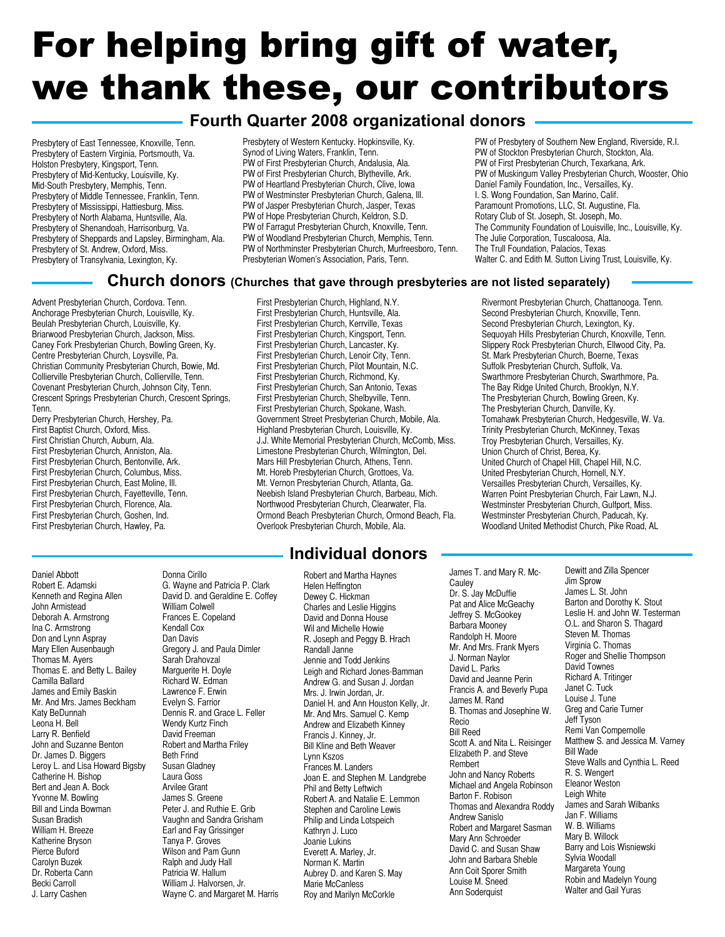# For helping bring gift of water, we thank these, our contributors

## **Fourth Quarter 2008 organizational donors**

Presbytery of East Tennessee, Knoxville, Tenn. Presbytery of Eastern Virginia, Portsmouth, Va. Holston Presbytery, Kingsport, Tenn. Presbytery of Mid-Kentucky, Louisville, Ky. Mid-South Presbytery, Memphis, Tenn. Presbytery of Middle Tennessee, Franklin, Tenn. Presbytery of Mississippi, Hattiesburg, Miss. Presbytery of North Alabama, Huntsville, Ala. Presbytery of Shenandoah, Harrisonburg, Va. Presbytery of Sheppards and Lapsley, Birmingham, Ala. Presbytery of St. Andrew, Oxford, Miss. Presbytery of Transylvania, Lexington, Ky.

Presbytery of Western Kentucky. Hopkinsville, Ky. Synod of Living Waters, Franklin, Tenn. PW of First Presbyterian Church, Andalusia, Ala. PW of First Presbyterian Church, Blytheville, Ark. PW of Heartland Presbyterian Church, Clive, Iowa PW of Westminster Presbyterian Church, Galena, Ill. PW of Jasper Presbyterian Church, Jasper, Texas PW of Hope Presbyterian Church, Keldron, S.D. PW of Farragut Presbyterian Church, Knoxville, Tenn. PW of Woodland Presbyterian Church, Memphis, Tenn. PW of Northminster Presbyterian Church, Murfreesboro, Tenn. Presbyterian Women's Association, Paris, Tenn.

PW of Presbytery of Southern New England, Riverside, R.I. PW of Stockton Presbyterian Church, Stockton, Ala. PW of First Presbyterian Church, Texarkana, Ark. PW of Muskingum Valley Presbyterian Church, Wooster, Ohio Daniel Family Foundation, Inc., Versailles, Ky. I. S. Wong Foundation, San Marino, Calif. Paramount Promotions, LLC, St. Augustine, Fla. Rotary Club of St. Joseph, St. Joseph, Mo. The Community Foundation of Louisville, Inc., Louisville, Ky. The Julie Corporation, Tuscaloosa, Ala. The Trull Foundation, Palacios, Texas Walter C. and Edith M. Sutton Living Trust, Louisville, Ky.

Rivermont Presbyterian Church, Chattanooga. Tenn. Second Presbyterian Church, Knoxville, Tenn. Second Presbyterian Church, Lexington, Ky. Sequoyah Hills Presbyterian Church, Knoxville, Tenn. Slippery Rock Presbyterian Church, Ellwood City, Pa. St. Mark Presbyterian Church, Boerne, Texas Suffolk Presbyterian Church, Suffolk, Va. Swarthmore Presbyterian Church, Swarthmore, Pa.

## **Church donors (Churches that gave through presbyteries are not listed separately)**

Advent Presbyterian Church, Cordova. Tenn. Anchorage Presbyterian Church, Louisville, Ky. Beulah Presbyterian Church, Louisville, Ky. Briarwood Presbyterian Church, Jackson, Miss. Caney Fork Presbyterian Church, Bowling Green, Ky. Centre Presbyterian Church, Loysville, Pa. Christian Community Presbyterian Church, Bowie, Md. Collierville Presbyterian Church, Collierville, Tenn. Covenant Presbyterian Church, Johnson City, Tenn. Crescent Springs Presbyterian Church, Crescent Springs, Tenn.

Derry Presbyterian Church, Hershey, Pa. First Baptist Church, Oxford, Miss. First Christian Church, Auburn, Ala. First Presbyterian Church, Anniston, Ala. First Presbyterian Church, Bentonville, Ark. First Presbyterian Church, Columbus, Miss. First Presbyterian Church, East Moline, Ill. First Presbyterian Church, Fayetteville, Tenn. First Presbyterian Church, Florence, Ala. First Presbyterian Church, Goshen, Ind. First Presbyterian Church, Hawley, Pa.

Daniel Abbott Robert E. Adamski Kenneth and Regina Allen John Armistead Deborah A. Armstrong Ina C. Armstrong Don and Lynn Aspray Mary Ellen Ausenbaugh Thomas M. Ayers Thomas E. and Betty L. Bailey Camilla Ballard James and Emily Baskin Mr. And Mrs. James Beckham Katy BeDunnah Leona H. Bell Larry R. Benfield John and Suzanne Benton Dr. James D. Biggers Leroy L. and Lisa Howard Bigsby Catherine H. Bishop Bert and Jean A. Bock Yvonne M. Bowling Bill and Linda Bowman Susan Bradish William H. Breeze Katherine Bryson Pierce Buford Carolyn Buzek Dr. Roberta Cann Becki Carroll J. Larry Cashen

Donna Cirillo G. Wayne and Patricia P. Clark David D. and Geraldine E. Coffey William Colwell Frances E. Copeland Kendall Cox Dan Davis Gregory J. and Paula Dimler Sarah Drahovzal Marguerite H. Doyle Richard W. Edman Lawrence F. Erwin Evelyn S. Farrior Dennis R. and Grace L. Feller Wendy Kurtz Finch David Freeman Robert and Martha Friley Beth Frind Susan Gladney Laura Goss Arvilee Grant James S. Greene Peter J. and Ruthie E. Grib Vaughn and Sandra Grisham Earl and Fay Grissinger Tanya P. Groves Wilson and Pam Gunn Ralph and Judy Hall Patricia W. Hallum William J. Halvorsen, Jr. Wayne C. and Margaret M. Harris

First Presbyterian Church, Highland, N.Y. First Presbyterian Church, Huntsville, Ala. First Presbyterian Church, Kerrville, Texas First Presbyterian Church, Kingsport, Tenn. First Presbyterian Church, Lancaster, Ky. First Presbyterian Church, Lenoir City, Tenn. First Presbyterian Church, Pilot Mountain, N.C. First Presbyterian Church, Richmond, Ky. First Presbyterian Church, San Antonio, Texas First Presbyterian Church, Shelbyville, Tenn. First Presbyterian Church, Spokane, Wash. Government Street Presbyterian Church, Mobile, Ala. Highland Presbyterian Church, Louisville, Ky. J.J. White Memorial Presbyterian Church, McComb, Miss. Limestone Presbyterian Church, Wilmington, Del. Mars Hill Presbyterian Church, Athens, Tenn. Mt. Horeb Presbyterian Church, Grottoes, Va. Mt. Vernon Presbyterian Church, Atlanta, Ga. Neebish Island Presbyterian Church, Barbeau, Mich. Northwood Presbyterian Church, Clearwater, Fla. Ormond Beach Presbyterian Church, Ormond Beach, Fla. Overlook Presbyterian Church, Mobile, Ala.

## **Individual donors**

Robert and Martha Haynes Helen Heffington Dewey C. Hickman Charles and Leslie Higgins David and Donna House Wil and Michelle Howie R. Joseph and Peggy B. Hrach Randall Janne Jennie and Todd Jenkins Leigh and Richard Jones-Bamman Andrew G. and Susan J. Jordan Mrs. J. Irwin Jordan, Jr. Daniel H. and Ann Houston Kelly, Jr. Mr. And Mrs. Samuel C. Kemp Andrew and Elizabeth Kinney Francis J. Kinney, Jr. Bill Kline and Beth Weaver Lynn Kszos Frances M. Landers Joan E. and Stephen M. Landgrebe Phil and Betty Leftwich Robert A. and Natalie E. Lemmon Stephen and Caroline Lewis Philip and Linda Lotspeich Kathryn J. Luco Joanie Lukins Everett A. Marley, Jr. Norman K. Martin Aubrey D. and Karen S. May Marie McCanless Roy and Marilyn McCorkle

**Cauley** Dr. S. Jay McDuffie Pat and Alice McGeachy Jeffrey S. McGookey Barbara Mooney Randolph H. Moore Mr. And Mrs. Frank Myers J. Norman Naylor David L. Parks David and Jeanne Perin Francis A. and Beverly Pupa James M. Rand B. Thomas and Josephine W. Recio Bill Reed Scott A. and Nita L. Reisinger Elizabeth P. and Steve Rembert John and Nancy Roberts Michael and Angela Robinson Barton F. Robison Thomas and Alexandra Roddy Andrew Sanislo Robert and Margaret Sasman Mary Ann Schroeder David C. and Susan Shaw John and Barbara Sheble Ann Coit Sporer Smith Louise M. Sneed Ann Soderquist

James T. and Mary R. Mc-Dewitt and Zilla Spencer Jim Sprow James L. St. John Barton and Dorothy K. Stout Leslie H. and John W. Testerman O.L. and Sharon S. Thagard Steven M. Thomas The Bay Ridge United Church, Brooklyn, N.Y. The Presbyterian Church, Bowling Green, Ky. The Presbyterian Church, Danville, Ky. Tomahawk Presbyterian Church, Hedgesville, W. Va. Trinity Presbyterian Church, McKinney, Texas Troy Presbyterian Church, Versailles, Ky. Union Church of Christ, Berea, Ky. United Church of Chapel Hill, Chapel Hill, N.C. United Presbyterian Church, Hornell, N.Y. Versailles Presbyterian Church, Versailles, Ky. Warren Point Presbyterian Church, Fair Lawn, N.J. Westminster Presbyterian Church, Gulfport, Miss. Westminster Presbyterian Church, Paducah, Ky. Woodland United Methodist Church, Pike Road, AL

Virginia C. Thomas Roger and Shellie Thompson David Townes Richard A. Tritinger Janet C. Tuck Louise J. Tune Greg and Carie Turner Jeff Tyson Remi Van Compernolle Matthew S. and Jessica M. Varney Bill Wade Steve Walls and Cynthia L. Reed R. S. Wengert Eleanor Weston Leigh White James and Sarah Wilbanks Jan F. Williams W. B. Williams Mary B. Willock Barry and Lois Wisniewski Sylvia Woodall Margareta Young Robin and Madelyn Young Walter and Gail Yuras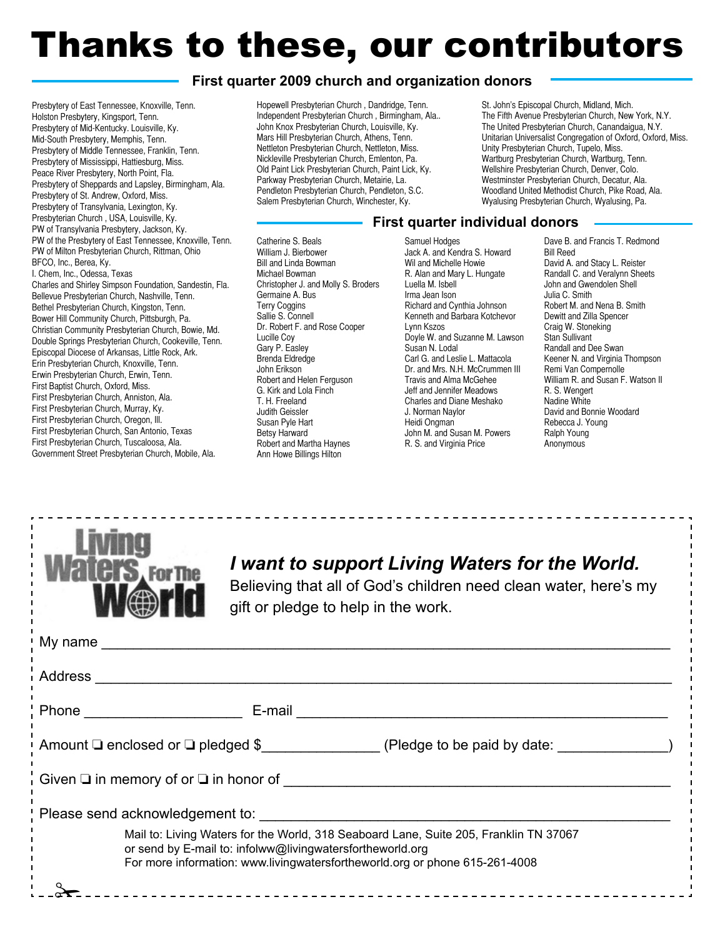# Thanks to these, our contributors

## **First quarter 2009 church and organization donors**

Presbytery of East Tennessee, Knoxville, Tenn. Holston Presbytery, Kingsport, Tenn. Presbytery of Mid-Kentucky. Louisville, Ky. Mid-South Presbytery, Memphis, Tenn. Presbytery of Middle Tennessee, Franklin, Tenn. Presbytery of Mississippi, Hattiesburg, Miss. Peace River Presbytery, North Point, Fla. Presbytery of Sheppards and Lapsley, Birmingham, Ala. Presbytery of St. Andrew, Oxford, Miss. Presbytery of Transylvania, Lexington, Ky. Presbyterian Church , USA, Louisville, Ky. PW of Transylvania Presbytery, Jackson, Ky. PW of the Presbytery of East Tennessee, Knoxville, Tenn. PW of Milton Presbyterian Church, Rittman, Ohio BFCO, Inc., Berea, Ky. I. Chem, Inc., Odessa, Texas Charles and Shirley Simpson Foundation, Sandestin, Fla. Bellevue Presbyterian Church, Nashville, Tenn.

Bethel Presbyterian Church, Kingston, Tenn. Bower Hill Community Church, Pittsburgh, Pa. Christian Community Presbyterian Church, Bowie, Md. Double Springs Presbyterian Church, Cookeville, Tenn. Episcopal Diocese of Arkansas, Little Rock, Ark. Erin Presbyterian Church, Knoxville, Tenn. Erwin Presbyterian Church, Erwin, Tenn. First Baptist Church, Oxford, Miss. First Presbyterian Church, Anniston, Ala. First Presbyterian Church, Murray, Ky. First Presbyterian Church, Oregon, Ill. First Presbyterian Church, San Antonio, Texas First Presbyterian Church, Tuscaloosa, Ala. Government Street Presbyterian Church, Mobile, Ala.

Hopewell Presbyterian Church , Dandridge, Tenn. Independent Presbyterian Church , Birmingham, Ala.. John Knox Presbyterian Church, Louisville, Ky. Mars Hill Presbyterian Church, Athens, Tenn. Nettleton Presbyterian Church, Nettleton, Miss. Nickleville Presbyterian Church, Emlenton, Pa. Old Paint Lick Presbyterian Church, Paint Lick, Ky. Parkway Presbyterian Church, Metairie, La. Pendleton Presbyterian Church, Pendleton, S.C. Salem Presbyterian Church, Winchester, Ky.

St. John's Episcopal Church, Midland, Mich. The Fifth Avenue Presbyterian Church, New York, N.Y. The United Presbyterian Church, Canandaigua, N.Y. Unitarian Universalist Congregation of Oxford, Oxford, Miss. Unity Presbyterian Church, Tupelo, Miss. Wartburg Presbyterian Church, Wartburg, Tenn. Wellshire Presbyterian Church, Denver, Colo. Westminster Presbyterian Church, Decatur, Ala. Woodland United Methodist Church, Pike Road, Ala. Wyalusing Presbyterian Church, Wyalusing, Pa.

#### Catherine S. Beals William J. Bierbower Bill and Linda Bowman Michael Bowman Christopher J. and Molly S. Broders Germaine A. Bus Terry Coggins Sallie S. Connell Dr. Robert F. and Rose Cooper Lucille Coy Gary P. Easley Brenda Eldredge John Erikson Robert and Helen Ferguson G. Kirk and Lola Finch T. H. Freeland Judith Geissler Susan Pyle Hart Betsy Harward Robert and Martha Haynes Ann Howe Billings Hilton

#### Samuel Hodges Jack A. and Kendra S. Howard Wil and Michelle Howie R. Alan and Mary L. Hungate Luella M. Isbell Irma Jean Ison Richard and Cynthia Johnson Kenneth and Barbara Kotchevor Lynn Kszos Doyle W. and Suzanne M. Lawson Susan N. Lodal Carl G. and Leslie L. Mattacola Dr. and Mrs. N.H. McCrummen III Travis and Alma McGehee Jeff and Jennifer Meadows Charles and Diane Meshako J. Norman Naylor Heidi Ongman John M. and Susan M. Powers R. S. and Virginia Price

**First quarter individual donors**

Dave B. and Francis T. Redmond Bill Reed David A. and Stacy L. Reister Randall C. and Veralynn Sheets John and Gwendolen Shell Julia C. Smith Robert M. and Nena B. Smith Dewitt and Zilla Spencer Craig W. Stoneking Stan Sullivant Randall and Dee Swan Keener N. and Virginia Thompson Remi Van Compernolle William R. and Susan F. Watson II R. S. Wengert Nadine White David and Bonnie Woodard Rebecca J. Young Ralph Young Anonymous



## *I want to support Living Waters for the World.*

Believing that all of God's children need clean water, here's my gift or pledge to help in the work.

|                                                                                                                                                                                                                                   | Phone <u>_________________</u>                                            |  |
|-----------------------------------------------------------------------------------------------------------------------------------------------------------------------------------------------------------------------------------|---------------------------------------------------------------------------|--|
|                                                                                                                                                                                                                                   | Amount $\Box$ enclosed or $\Box$ pledged \$ (Pledge to be paid by date: ) |  |
| Given $\square$ in memory of or $\square$ in honor of $\square$                                                                                                                                                                   |                                                                           |  |
|                                                                                                                                                                                                                                   |                                                                           |  |
| Mail to: Living Waters for the World, 318 Seaboard Lane, Suite 205, Franklin TN 37067<br>or send by E-mail to: infolww@livingwatersfortheworld.org<br>For more information: www.livingwatersfortheworld.org or phone 615-261-4008 |                                                                           |  |
|                                                                                                                                                                                                                                   |                                                                           |  |